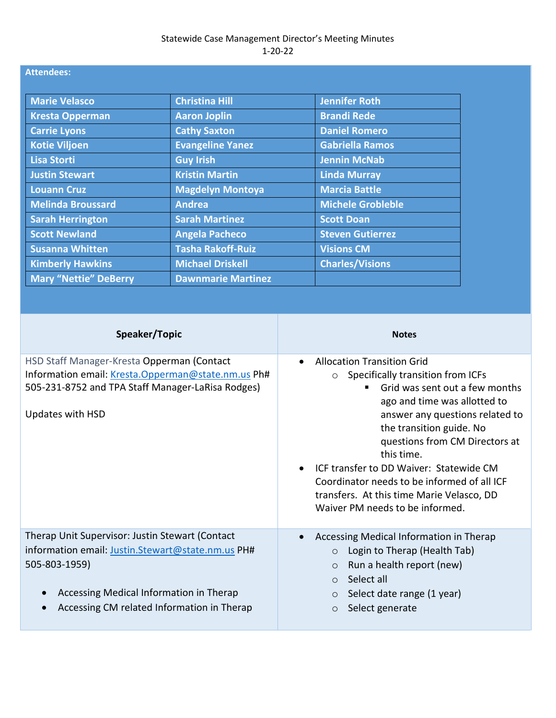## **Attendees:**

| <b>Marie Velasco</b>         | <b>Christina Hill</b>     | <b>Jennifer Roth</b>    |
|------------------------------|---------------------------|-------------------------|
| <b>Kresta Opperman</b>       | <b>Aaron Joplin</b>       | <b>Brandi Rede</b>      |
| <b>Carrie Lyons</b>          | <b>Cathy Saxton</b>       | <b>Daniel Romero</b>    |
| <b>Kotie Viljoen</b>         | <b>Evangeline Yanez</b>   | <b>Gabriella Ramos</b>  |
| <b>Lisa Storti</b>           | <b>Guy Irish</b>          | <b>Jennin McNab</b>     |
| <b>Justin Stewart</b>        | <b>Kristin Martin</b>     | <b>Linda Murray</b>     |
| <b>Louann Cruz</b>           | <b>Magdelyn Montoya</b>   | <b>Marcia Battle</b>    |
| <b>Melinda Broussard</b>     | <b>Andrea</b>             | Michele Grobleble       |
| <b>Sarah Herrington</b>      | <b>Sarah Martinez</b>     | <b>Scott Doan</b>       |
| <b>Scott Newland</b>         | <b>Angela Pacheco</b>     | <b>Steven Gutierrez</b> |
| <b>Susanna Whitten</b>       | <b>Tasha Rakoff-Ruiz</b>  | <b>Visions CM</b>       |
| <b>Kimberly Hawkins</b>      | <b>Michael Driskell</b>   | <b>Charles/Visions</b>  |
| <b>Mary "Nettie" DeBerry</b> | <b>Dawnmarie Martinez</b> |                         |

| Speaker/Topic                                                                                                                                                                                                  | <b>Notes</b>                                                                                                                                                                                                                                                                                                                                                                                                                              |
|----------------------------------------------------------------------------------------------------------------------------------------------------------------------------------------------------------------|-------------------------------------------------------------------------------------------------------------------------------------------------------------------------------------------------------------------------------------------------------------------------------------------------------------------------------------------------------------------------------------------------------------------------------------------|
| HSD Staff Manager-Kresta Opperman (Contact<br>Information email: Kresta.Opperman@state.nm.us Ph#<br>505-231-8752 and TPA Staff Manager-LaRisa Rodges)<br>Updates with HSD                                      | <b>Allocation Transition Grid</b><br>$\circ$ Specifically transition from ICFs<br>Grid was sent out a few months<br>ago and time was allotted to<br>answer any questions related to<br>the transition guide. No<br>questions from CM Directors at<br>this time.<br>ICF transfer to DD Waiver: Statewide CM<br>Coordinator needs to be informed of all ICF<br>transfers. At this time Marie Velasco, DD<br>Waiver PM needs to be informed. |
| Therap Unit Supervisor: Justin Stewart (Contact<br>information email: Justin.Stewart@state.nm.us PH#<br>505-803-1959)<br>Accessing Medical Information in Therap<br>Accessing CM related Information in Therap | Accessing Medical Information in Therap<br>Login to Therap (Health Tab)<br>Run a health report (new)<br>$\circ$<br>Select all<br>$\bigcap$<br>Select date range (1 year)<br>$\circ$<br>Select generate<br>$\circ$                                                                                                                                                                                                                         |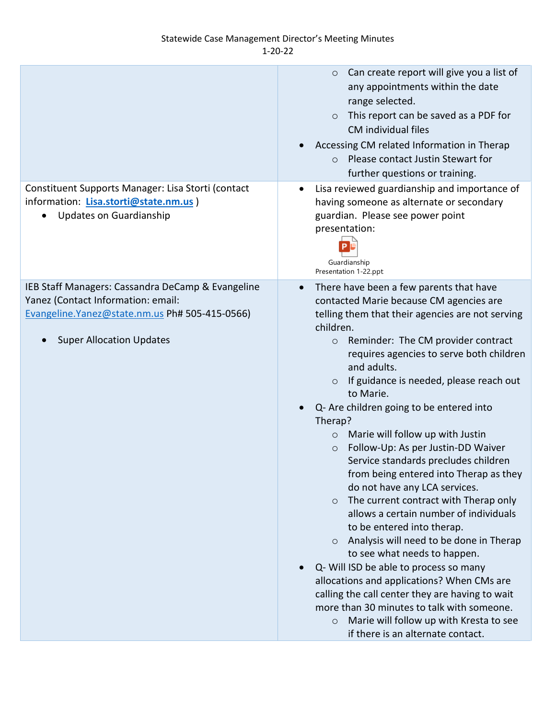## Statewide Case Management Director's Meeting Minutes 1-20-22

|                                                                                                                                                                               | Can create report will give you a list of<br>$\circ$<br>any appointments within the date<br>range selected.<br>This report can be saved as a PDF for<br>$\circ$<br>CM individual files<br>Accessing CM related Information in Therap<br>Please contact Justin Stewart for<br>$\Omega$<br>further questions or training.                                                                                                                                                                                                                                                                                                                                                                                                                                                                                                                                                                                                                                                                                                                                                                                                         |
|-------------------------------------------------------------------------------------------------------------------------------------------------------------------------------|---------------------------------------------------------------------------------------------------------------------------------------------------------------------------------------------------------------------------------------------------------------------------------------------------------------------------------------------------------------------------------------------------------------------------------------------------------------------------------------------------------------------------------------------------------------------------------------------------------------------------------------------------------------------------------------------------------------------------------------------------------------------------------------------------------------------------------------------------------------------------------------------------------------------------------------------------------------------------------------------------------------------------------------------------------------------------------------------------------------------------------|
| Constituent Supports Manager: Lisa Storti (contact<br>information: Lisa.storti@state.nm.us )<br><b>Updates on Guardianship</b>                                                | Lisa reviewed guardianship and importance of<br>$\bullet$<br>having someone as alternate or secondary<br>guardian. Please see power point<br>presentation:<br>Guardianship<br>Presentation 1-22.ppt                                                                                                                                                                                                                                                                                                                                                                                                                                                                                                                                                                                                                                                                                                                                                                                                                                                                                                                             |
| IEB Staff Managers: Cassandra DeCamp & Evangeline<br>Yanez (Contact Information: email:<br>Evangeline. Yanez@state.nm.us Ph# 505-415-0566)<br><b>Super Allocation Updates</b> | There have been a few parents that have<br>$\bullet$<br>contacted Marie because CM agencies are<br>telling them that their agencies are not serving<br>children.<br>Reminder: The CM provider contract<br>$\circ$<br>requires agencies to serve both children<br>and adults.<br>If guidance is needed, please reach out<br>$\circ$<br>to Marie.<br>Q- Are children going to be entered into<br>Therap?<br>Marie will follow up with Justin<br>$\circ$<br>Follow-Up: As per Justin-DD Waiver<br>$\circ$<br>Service standards precludes children<br>from being entered into Therap as they<br>do not have any LCA services.<br>The current contract with Therap only<br>$\circ$<br>allows a certain number of individuals<br>to be entered into therap.<br>Analysis will need to be done in Therap<br>$\circ$<br>to see what needs to happen.<br>Q- Will ISD be able to process so many<br>allocations and applications? When CMs are<br>calling the call center they are having to wait<br>more than 30 minutes to talk with someone.<br>Marie will follow up with Kresta to see<br>$\circ$<br>if there is an alternate contact. |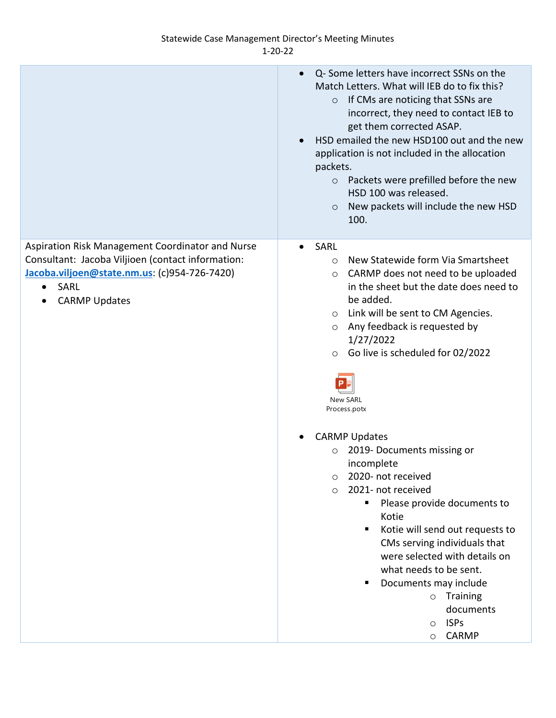## Statewide Case Management Director's Meeting Minutes 1-20-22

|                                                                                                                                                                                                    | Q- Some letters have incorrect SSNs on the<br>$\bullet$<br>Match Letters. What will IEB do to fix this?<br>If CMs are noticing that SSNs are<br>$\circ$<br>incorrect, they need to contact IEB to<br>get them corrected ASAP.<br>HSD emailed the new HSD100 out and the new<br>$\bullet$<br>application is not included in the allocation<br>packets.<br>Packets were prefilled before the new<br>$\circ$<br>HSD 100 was released.<br>New packets will include the new HSD<br>$\circ$<br>100.                                                                                                                                                                                                                                                                                         |
|----------------------------------------------------------------------------------------------------------------------------------------------------------------------------------------------------|---------------------------------------------------------------------------------------------------------------------------------------------------------------------------------------------------------------------------------------------------------------------------------------------------------------------------------------------------------------------------------------------------------------------------------------------------------------------------------------------------------------------------------------------------------------------------------------------------------------------------------------------------------------------------------------------------------------------------------------------------------------------------------------|
| Aspiration Risk Management Coordinator and Nurse<br>Consultant: Jacoba Viljioen (contact information:<br>Jacoba.viljoen@state.nm.us: (c)954-726-7420)<br>SARL<br>$\bullet$<br><b>CARMP Updates</b> | SARL<br>$\bullet$<br>New Statewide form Via Smartsheet<br>$\circ$<br>CARMP does not need to be uploaded<br>$\circ$<br>in the sheet but the date does need to<br>be added.<br>Link will be sent to CM Agencies.<br>O<br>Any feedback is requested by<br>$\circ$<br>1/27/2022<br>Go live is scheduled for 02/2022<br>$\circ$<br><b>New SARL</b><br>Process.potx<br><b>CARMP Updates</b><br>2019- Documents missing or<br>$\circ$<br>incomplete<br>2020- not received<br>$\circ$<br>2021- not received<br>$\circ$<br>Please provide documents to<br>п<br>Kotie<br>Kotie will send out requests to<br>٠<br>CMs serving individuals that<br>were selected with details on<br>what needs to be sent.<br>Documents may include<br>Training<br>$\circ$<br>documents<br><b>ISPs</b><br>$\circ$ |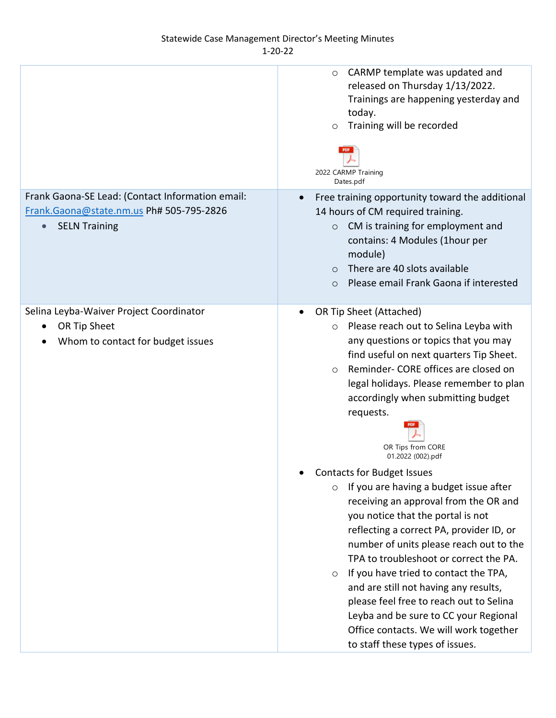|                                                                                                                      | CARMP template was updated and<br>$\circ$<br>released on Thursday 1/13/2022.<br>Trainings are happening yesterday and<br>today.<br>Training will be recorded<br>$\circ$<br>2022 CARMP Training<br>Dates.pdf                                                                                                                                                                                                                                                                                                                                                              |
|----------------------------------------------------------------------------------------------------------------------|--------------------------------------------------------------------------------------------------------------------------------------------------------------------------------------------------------------------------------------------------------------------------------------------------------------------------------------------------------------------------------------------------------------------------------------------------------------------------------------------------------------------------------------------------------------------------|
| Frank Gaona-SE Lead: (Contact Information email:<br>Frank.Gaona@state.nm.us Ph# 505-795-2826<br><b>SELN Training</b> | Free training opportunity toward the additional<br>$\bullet$<br>14 hours of CM required training.<br>CM is training for employment and<br>$\circ$<br>contains: 4 Modules (1hour per<br>module)<br>There are 40 slots available<br>$\circ$<br>Please email Frank Gaona if interested<br>$\circ$                                                                                                                                                                                                                                                                           |
| Selina Leyba-Waiver Project Coordinator<br>OR Tip Sheet<br>Whom to contact for budget issues                         | OR Tip Sheet (Attached)<br>٠<br>Please reach out to Selina Leyba with<br>$\circ$<br>any questions or topics that you may<br>find useful on next quarters Tip Sheet.<br>Reminder- CORE offices are closed on<br>$\circ$<br>legal holidays. Please remember to plan<br>accordingly when submitting budget<br>requests.<br>OR Tips from CORE<br>01.2022 (002).pdf                                                                                                                                                                                                           |
|                                                                                                                      | <b>Contacts for Budget Issues</b><br>٠<br>If you are having a budget issue after<br>$\circ$<br>receiving an approval from the OR and<br>you notice that the portal is not<br>reflecting a correct PA, provider ID, or<br>number of units please reach out to the<br>TPA to troubleshoot or correct the PA.<br>If you have tried to contact the TPA,<br>$\circ$<br>and are still not having any results,<br>please feel free to reach out to Selina<br>Leyba and be sure to CC your Regional<br>Office contacts. We will work together<br>to staff these types of issues. |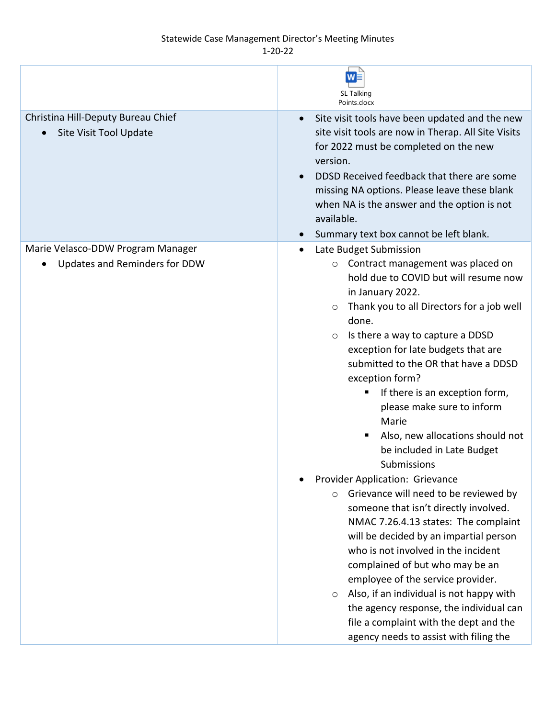## Statewide Case Management Director's Meeting Minutes

1-20-22

|                                                                    | W<br>SL Talking<br>Points.docx                                                                                                                                                                                                                                                                                                                                                                                                                                                                                                                                                                                                                                                                                                                                                                                                                                                                                                                                                                                              |
|--------------------------------------------------------------------|-----------------------------------------------------------------------------------------------------------------------------------------------------------------------------------------------------------------------------------------------------------------------------------------------------------------------------------------------------------------------------------------------------------------------------------------------------------------------------------------------------------------------------------------------------------------------------------------------------------------------------------------------------------------------------------------------------------------------------------------------------------------------------------------------------------------------------------------------------------------------------------------------------------------------------------------------------------------------------------------------------------------------------|
| Christina Hill-Deputy Bureau Chief<br>Site Visit Tool Update       | Site visit tools have been updated and the new<br>$\bullet$<br>site visit tools are now in Therap. All Site Visits<br>for 2022 must be completed on the new<br>version.<br>DDSD Received feedback that there are some<br>missing NA options. Please leave these blank<br>when NA is the answer and the option is not<br>available.<br>Summary text box cannot be left blank.                                                                                                                                                                                                                                                                                                                                                                                                                                                                                                                                                                                                                                                |
| Marie Velasco-DDW Program Manager<br>Updates and Reminders for DDW | Late Budget Submission<br>Contract management was placed on<br>$\circ$<br>hold due to COVID but will resume now<br>in January 2022.<br>Thank you to all Directors for a job well<br>done.<br>Is there a way to capture a DDSD<br>$\circ$<br>exception for late budgets that are<br>submitted to the OR that have a DDSD<br>exception form?<br>If there is an exception form,<br>please make sure to inform<br>Marie<br>Also, new allocations should not<br>be included in Late Budget<br>Submissions<br>Provider Application: Grievance<br>Grievance will need to be reviewed by<br>$\circ$<br>someone that isn't directly involved.<br>NMAC 7.26.4.13 states: The complaint<br>will be decided by an impartial person<br>who is not involved in the incident<br>complained of but who may be an<br>employee of the service provider.<br>Also, if an individual is not happy with<br>$\circ$<br>the agency response, the individual can<br>file a complaint with the dept and the<br>agency needs to assist with filing the |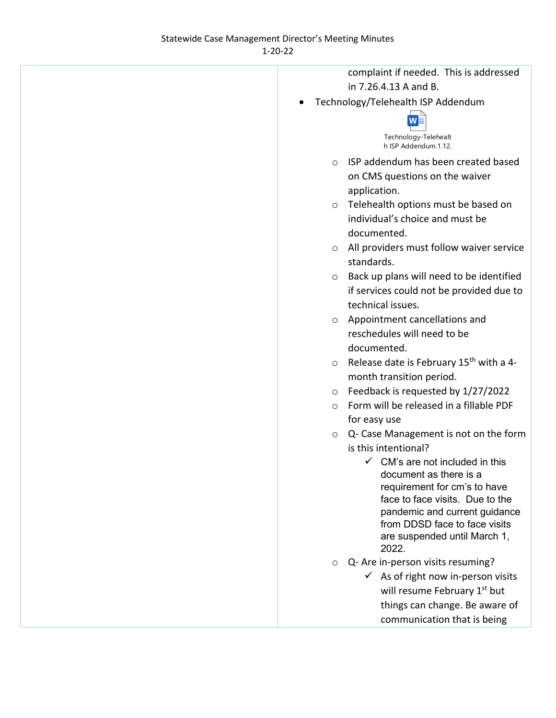| complaint if needed. This is addressed                                                                                                                                                                                                             |
|----------------------------------------------------------------------------------------------------------------------------------------------------------------------------------------------------------------------------------------------------|
| in 7.26.4.13 A and B.                                                                                                                                                                                                                              |
| Technology/Telehealth ISP Addendum                                                                                                                                                                                                                 |
| Technology-Telehealt<br>h ISP Addendum.1.12.                                                                                                                                                                                                       |
| ISP addendum has been created based<br>$\circ$                                                                                                                                                                                                     |
| on CMS questions on the waiver                                                                                                                                                                                                                     |
| application.                                                                                                                                                                                                                                       |
| Telehealth options must be based on<br>$\circ$                                                                                                                                                                                                     |
| individual's choice and must be                                                                                                                                                                                                                    |
| documented.                                                                                                                                                                                                                                        |
| All providers must follow waiver service<br>$\circ$                                                                                                                                                                                                |
| standards.                                                                                                                                                                                                                                         |
| Back up plans will need to be identified<br>$\circ$<br>if services could not be provided due to<br>technical issues.                                                                                                                               |
| Appointment cancellations and                                                                                                                                                                                                                      |
| $\circ$<br>reschedules will need to be                                                                                                                                                                                                             |
| documented.                                                                                                                                                                                                                                        |
| Release date is February 15 <sup>th</sup> with a 4-<br>$\circ$                                                                                                                                                                                     |
| month transition period.                                                                                                                                                                                                                           |
| Feedback is requested by 1/27/2022<br>$\circ$                                                                                                                                                                                                      |
| Form will be released in a fillable PDF<br>$\circ$                                                                                                                                                                                                 |
| for easy use                                                                                                                                                                                                                                       |
| Q- Case Management is not on the form<br>$\circ$                                                                                                                                                                                                   |
| is this intentional?                                                                                                                                                                                                                               |
| $\checkmark$ CM's are not included in this<br>document as there is a<br>requirement for cm's to have<br>face to face visits. Due to the<br>pandemic and current guidance<br>from DDSD face to face visits<br>are suspended until March 1,<br>2022. |
| Q- Are in-person visits resuming?<br>$\circ$                                                                                                                                                                                                       |
| $\checkmark$ As of right now in-person visits                                                                                                                                                                                                      |
| will resume February 1 <sup>st</sup> but                                                                                                                                                                                                           |
| things can change. Be aware of                                                                                                                                                                                                                     |
| communication that is being                                                                                                                                                                                                                        |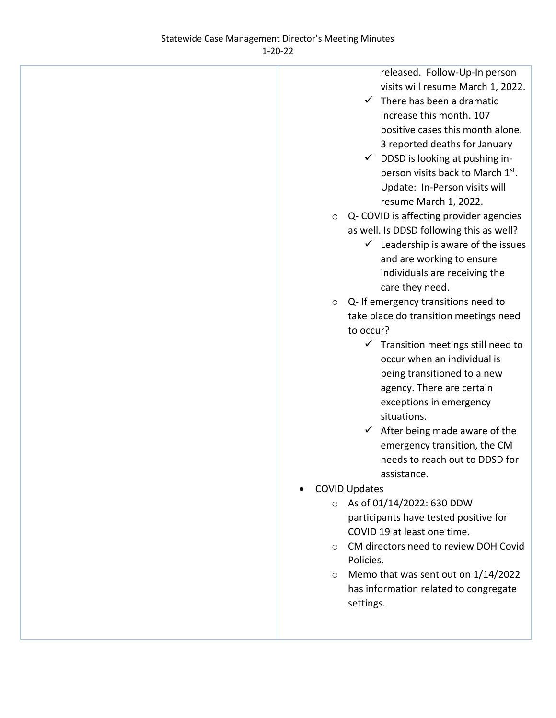released. Follow-Up-In person visits will resume March 1, 2022.

- $\checkmark$  There has been a dramatic increase this month. 107 positive cases this month alone. 3 reported deaths for January
- $\checkmark$  DDSD is looking at pushing inperson visits back to March 1st. Update: In-Person visits will resume March 1, 2022.
- o Q- COVID is affecting provider agencies as well. Is DDSD following this as well?
	- $\checkmark$  Leadership is aware of the issues and are working to ensure individuals are receiving the care they need.
- o Q- If emergency transitions need to take place do transition meetings need to occur?
	- $\checkmark$  Transition meetings still need to occur when an individual is being transitioned to a new agency. There are certain exceptions in emergency situations.
	- $\checkmark$  After being made aware of the emergency transition, the CM needs to reach out to DDSD for assistance.
- COVID Updates
	- o As of 01/14/2022: 630 DDW participants have tested positive for COVID 19 at least one time.
	- o CM directors need to review DOH Covid Policies.
	- o Memo that was sent out on 1/14/2022 has information related to congregate settings.